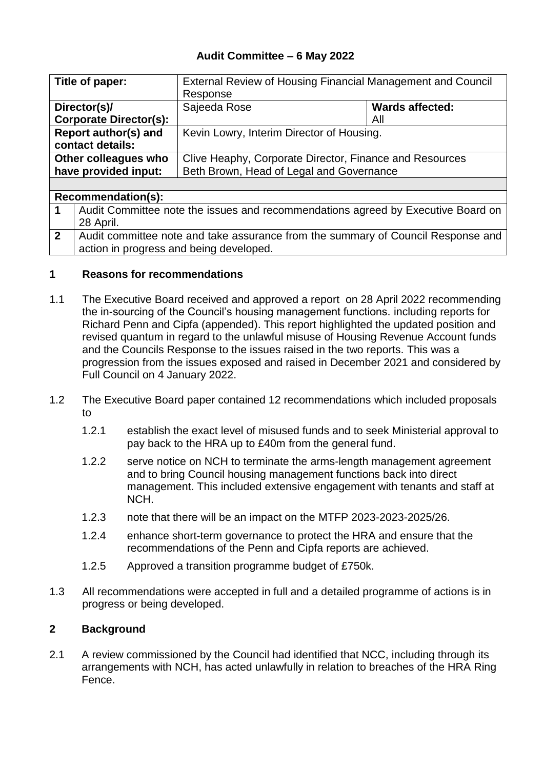## **Audit Committee – 6 May 2022**

| Title of paper:               |                                                                                  | External Review of Housing Financial Management and Council |                        |  |
|-------------------------------|----------------------------------------------------------------------------------|-------------------------------------------------------------|------------------------|--|
|                               |                                                                                  | Response                                                    |                        |  |
|                               | Director(s)/                                                                     | Sajeeda Rose                                                | <b>Wards affected:</b> |  |
| <b>Corporate Director(s):</b> |                                                                                  |                                                             | All                    |  |
| Report author(s) and          |                                                                                  | Kevin Lowry, Interim Director of Housing.                   |                        |  |
| contact details:              |                                                                                  |                                                             |                        |  |
| Other colleagues who          |                                                                                  | Clive Heaphy, Corporate Director, Finance and Resources     |                        |  |
| have provided input:          |                                                                                  | Beth Brown, Head of Legal and Governance                    |                        |  |
|                               |                                                                                  |                                                             |                        |  |
| <b>Recommendation(s):</b>     |                                                                                  |                                                             |                        |  |
| 1                             | Audit Committee note the issues and recommendations agreed by Executive Board on |                                                             |                        |  |

| <sup>1</sup> 28 April.                                                             |
|------------------------------------------------------------------------------------|
| 2 Audit committee note and take assurance from the summary of Council Response and |
| action in progress and being developed.                                            |

### **1 Reasons for recommendations**

- 1.1 The Executive Board received and approved a report on 28 April 2022 recommending the in-sourcing of the Council's housing management functions. including reports for Richard Penn and Cipfa (appended). This report highlighted the updated position and revised quantum in regard to the unlawful misuse of Housing Revenue Account funds and the Councils Response to the issues raised in the two reports. This was a progression from the issues exposed and raised in December 2021 and considered by Full Council on 4 January 2022.
- 1.2 The Executive Board paper contained 12 recommendations which included proposals to
	- 1.2.1 establish the exact level of misused funds and to seek Ministerial approval to pay back to the HRA up to £40m from the general fund.
	- 1.2.2 serve notice on NCH to terminate the arms-length management agreement and to bring Council housing management functions back into direct management. This included extensive engagement with tenants and staff at NCH.
	- 1.2.3 note that there will be an impact on the MTFP 2023-2023-2025/26.
	- 1.2.4 enhance short-term governance to protect the HRA and ensure that the recommendations of the Penn and Cipfa reports are achieved.
	- 1.2.5 Approved a transition programme budget of £750k.
- 1.3 All recommendations were accepted in full and a detailed programme of actions is in progress or being developed.

### **2 Background**

2.1 A review commissioned by the Council had identified that NCC, including through its arrangements with NCH, has acted unlawfully in relation to breaches of the HRA Ring Fence.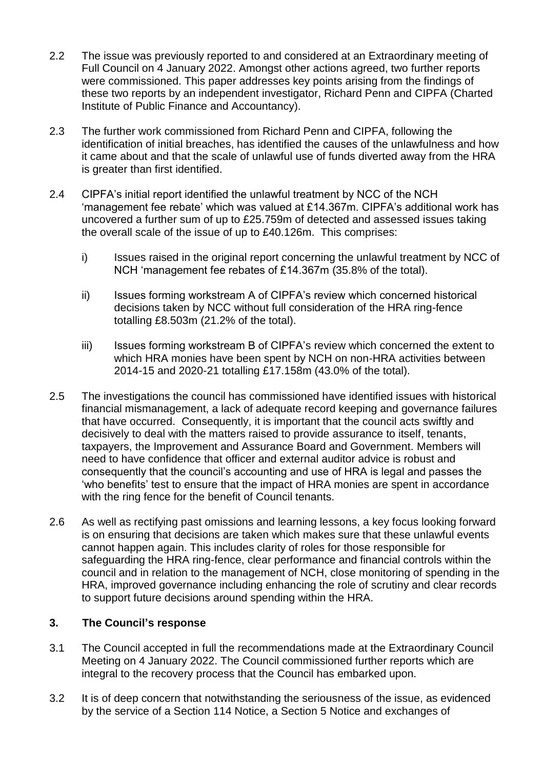- 2.2 The issue was previously reported to and considered at an Extraordinary meeting of Full Council on 4 January 2022. Amongst other actions agreed, two further reports were commissioned. This paper addresses key points arising from the findings of these two reports by an independent investigator, Richard Penn and CIPFA (Charted Institute of Public Finance and Accountancy).
- 2.3 The further work commissioned from Richard Penn and CIPFA, following the identification of initial breaches, has identified the causes of the unlawfulness and how it came about and that the scale of unlawful use of funds diverted away from the HRA is greater than first identified.
- 2.4 CIPFA's initial report identified the unlawful treatment by NCC of the NCH 'management fee rebate' which was valued at £14.367m. CIPFA's additional work has uncovered a further sum of up to £25.759m of detected and assessed issues taking the overall scale of the issue of up to £40.126m. This comprises:
	- i) Issues raised in the original report concerning the unlawful treatment by NCC of NCH 'management fee rebates of £14.367m (35.8% of the total).
	- ii) Issues forming workstream A of CIPFA's review which concerned historical decisions taken by NCC without full consideration of the HRA ring-fence totalling £8.503m (21.2% of the total).
	- iii) Issues forming workstream B of CIPFA's review which concerned the extent to which HRA monies have been spent by NCH on non-HRA activities between 2014-15 and 2020-21 totalling £17.158m (43.0% of the total).
- 2.5 The investigations the council has commissioned have identified issues with historical financial mismanagement, a lack of adequate record keeping and governance failures that have occurred. Consequently, it is important that the council acts swiftly and decisively to deal with the matters raised to provide assurance to itself, tenants, taxpayers, the Improvement and Assurance Board and Government. Members will need to have confidence that officer and external auditor advice is robust and consequently that the council's accounting and use of HRA is legal and passes the 'who benefits' test to ensure that the impact of HRA monies are spent in accordance with the ring fence for the benefit of Council tenants.
- 2.6 As well as rectifying past omissions and learning lessons, a key focus looking forward is on ensuring that decisions are taken which makes sure that these unlawful events cannot happen again. This includes clarity of roles for those responsible for safeguarding the HRA ring-fence, clear performance and financial controls within the council and in relation to the management of NCH, close monitoring of spending in the HRA, improved governance including enhancing the role of scrutiny and clear records to support future decisions around spending within the HRA.

# **3. The Council's response**

- 3.1 The Council accepted in full the recommendations made at the Extraordinary Council Meeting on 4 January 2022. The Council commissioned further reports which are integral to the recovery process that the Council has embarked upon.
- 3.2 It is of deep concern that notwithstanding the seriousness of the issue, as evidenced by the service of a Section 114 Notice, a Section 5 Notice and exchanges of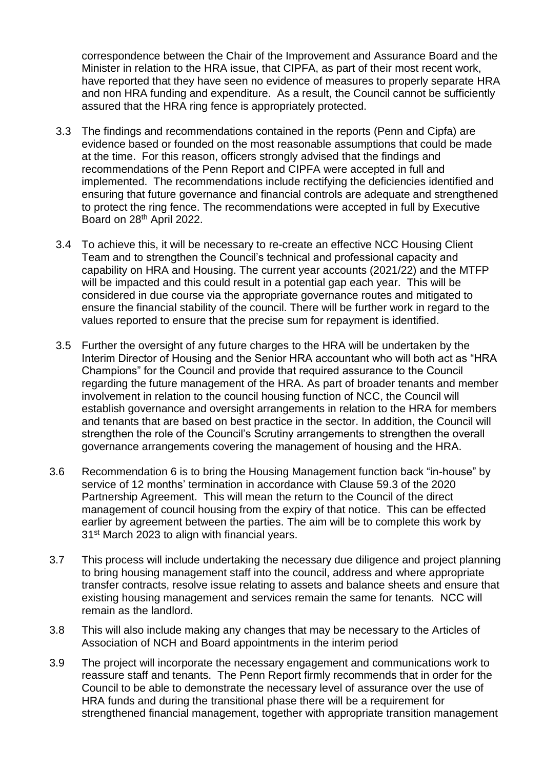correspondence between the Chair of the Improvement and Assurance Board and the Minister in relation to the HRA issue, that CIPFA, as part of their most recent work, have reported that they have seen no evidence of measures to properly separate HRA and non HRA funding and expenditure. As a result, the Council cannot be sufficiently assured that the HRA ring fence is appropriately protected.

- 3.3 The findings and recommendations contained in the reports (Penn and Cipfa) are evidence based or founded on the most reasonable assumptions that could be made at the time. For this reason, officers strongly advised that the findings and recommendations of the Penn Report and CIPFA were accepted in full and implemented. The recommendations include rectifying the deficiencies identified and ensuring that future governance and financial controls are adequate and strengthened to protect the ring fence. The recommendations were accepted in full by Executive Board on 28th April 2022.
- 3.4 To achieve this, it will be necessary to re-create an effective NCC Housing Client Team and to strengthen the Council's technical and professional capacity and capability on HRA and Housing. The current year accounts (2021/22) and the MTFP will be impacted and this could result in a potential gap each year. This will be considered in due course via the appropriate governance routes and mitigated to ensure the financial stability of the council. There will be further work in regard to the values reported to ensure that the precise sum for repayment is identified.
- 3.5 Further the oversight of any future charges to the HRA will be undertaken by the Interim Director of Housing and the Senior HRA accountant who will both act as "HRA Champions" for the Council and provide that required assurance to the Council regarding the future management of the HRA. As part of broader tenants and member involvement in relation to the council housing function of NCC, the Council will establish governance and oversight arrangements in relation to the HRA for members and tenants that are based on best practice in the sector. In addition, the Council will strengthen the role of the Council's Scrutiny arrangements to strengthen the overall governance arrangements covering the management of housing and the HRA.
- 3.6 Recommendation 6 is to bring the Housing Management function back "in-house" by service of 12 months' termination in accordance with Clause 59.3 of the 2020 Partnership Agreement. This will mean the return to the Council of the direct management of council housing from the expiry of that notice. This can be effected earlier by agreement between the parties. The aim will be to complete this work by 31<sup>st</sup> March 2023 to align with financial years.
- 3.7 This process will include undertaking the necessary due diligence and project planning to bring housing management staff into the council, address and where appropriate transfer contracts, resolve issue relating to assets and balance sheets and ensure that existing housing management and services remain the same for tenants. NCC will remain as the landlord.
- 3.8 This will also include making any changes that may be necessary to the Articles of Association of NCH and Board appointments in the interim period
- 3.9 The project will incorporate the necessary engagement and communications work to reassure staff and tenants. The Penn Report firmly recommends that in order for the Council to be able to demonstrate the necessary level of assurance over the use of HRA funds and during the transitional phase there will be a requirement for strengthened financial management, together with appropriate transition management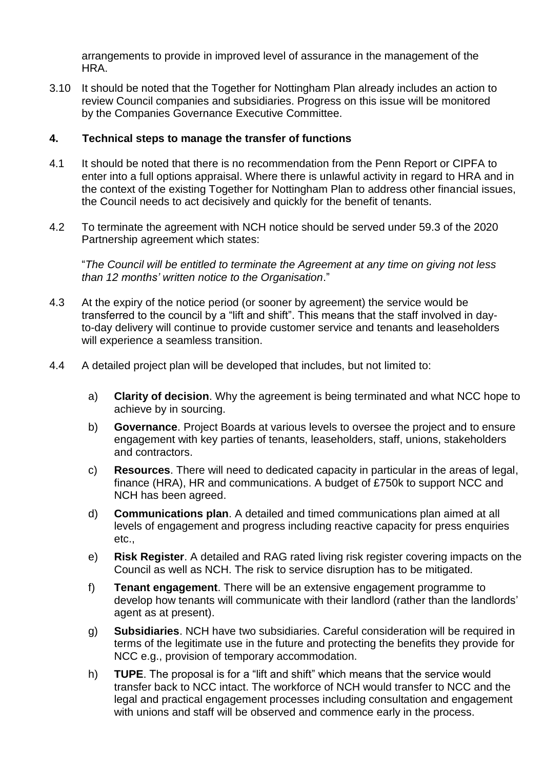arrangements to provide in improved level of assurance in the management of the HRA.

3.10 It should be noted that the Together for Nottingham Plan already includes an action to review Council companies and subsidiaries. Progress on this issue will be monitored by the Companies Governance Executive Committee.

### **4. Technical steps to manage the transfer of functions**

- 4.1 It should be noted that there is no recommendation from the Penn Report or CIPFA to enter into a full options appraisal. Where there is unlawful activity in regard to HRA and in the context of the existing Together for Nottingham Plan to address other financial issues, the Council needs to act decisively and quickly for the benefit of tenants.
- 4.2 To terminate the agreement with NCH notice should be served under 59.3 of the 2020 Partnership agreement which states:

"*The Council will be entitled to terminate the Agreement at any time on giving not less than 12 months' written notice to the Organisation*."

- 4.3 At the expiry of the notice period (or sooner by agreement) the service would be transferred to the council by a "lift and shift". This means that the staff involved in dayto-day delivery will continue to provide customer service and tenants and leaseholders will experience a seamless transition.
- 4.4 A detailed project plan will be developed that includes, but not limited to:
	- a) **Clarity of decision**. Why the agreement is being terminated and what NCC hope to achieve by in sourcing.
	- b) **Governance**. Project Boards at various levels to oversee the project and to ensure engagement with key parties of tenants, leaseholders, staff, unions, stakeholders and contractors.
	- c) **Resources**. There will need to dedicated capacity in particular in the areas of legal, finance (HRA), HR and communications. A budget of £750k to support NCC and NCH has been agreed.
	- d) **Communications plan**. A detailed and timed communications plan aimed at all levels of engagement and progress including reactive capacity for press enquiries etc.,
	- e) **Risk Register**. A detailed and RAG rated living risk register covering impacts on the Council as well as NCH. The risk to service disruption has to be mitigated.
	- f) **Tenant engagement**. There will be an extensive engagement programme to develop how tenants will communicate with their landlord (rather than the landlords' agent as at present).
	- g) **Subsidiaries**. NCH have two subsidiaries. Careful consideration will be required in terms of the legitimate use in the future and protecting the benefits they provide for NCC e.g., provision of temporary accommodation.
	- h) **TUPE**. The proposal is for a "lift and shift" which means that the service would transfer back to NCC intact. The workforce of NCH would transfer to NCC and the legal and practical engagement processes including consultation and engagement with unions and staff will be observed and commence early in the process.